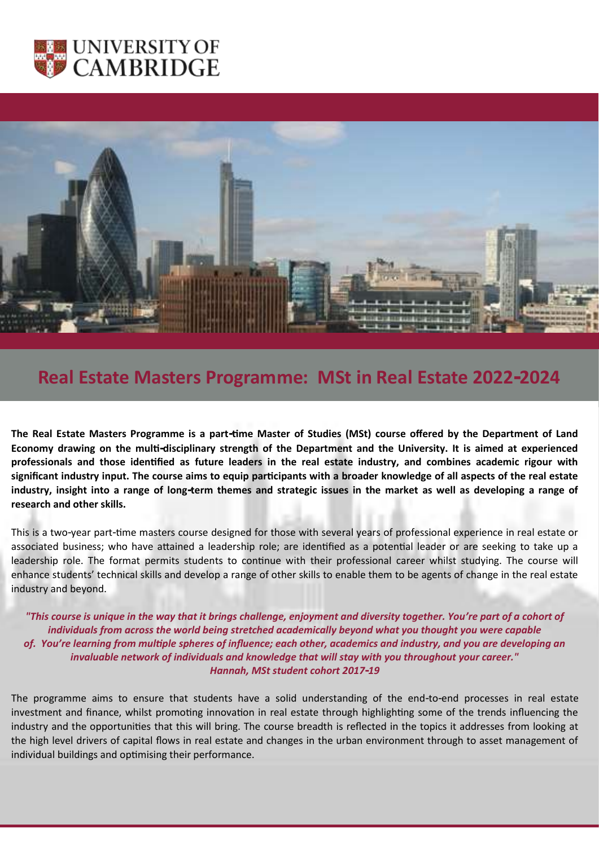



# **Real Estate Masters Programme: MSt in Real Estate 2022-2024**

**The Real Estate Masters Programme is a part-time Master of Studies (MSt) course offered by the Department of Land Economy drawing on the multi-disciplinary strength of the Department and the University. It is aimed at experienced professionals and those identified as future leaders in the real estate industry, and combines academic rigour with significant industry input. The course aims to equip participants with a broader knowledge of all aspects of the real estate industry, insight into a range of long-term themes and strategic issues in the market as well as developing a range of research and other skills.**

This is a two-year part-time masters course designed for those with several years of professional experience in real estate or associated business; who have attained a leadership role; are identified as a potential leader or are seeking to take up a leadership role. The format permits students to continue with their professional career whilst studying. The course will enhance students' technical skills and develop a range of other skills to enable them to be agents of change in the real estate industry and beyond.

*"This course is unique in the way that it brings challenge, enjoyment and diversity together. You're part of a cohort of individuals from across the world being stretched academically beyond what you thought you were capable of. You're learning from multiple spheres of influence; each other, academics and industry, and you are developing an invaluable network of individuals and knowledge that will stay with you throughout your career."* *Hannah, MSt student cohort 2017-19*

The programme aims to ensure that students have a solid understanding of the end-to-end processes in real estate investment and finance, whilst promoting innovation in real estate through highlighting some of the trends influencing the industry and the opportunities that this will bring. The course breadth is reflected in the topics it addresses from looking at the high level drivers of capital flows in real estate and changes in the urban environment through to asset management of individual buildings and optimising their performance.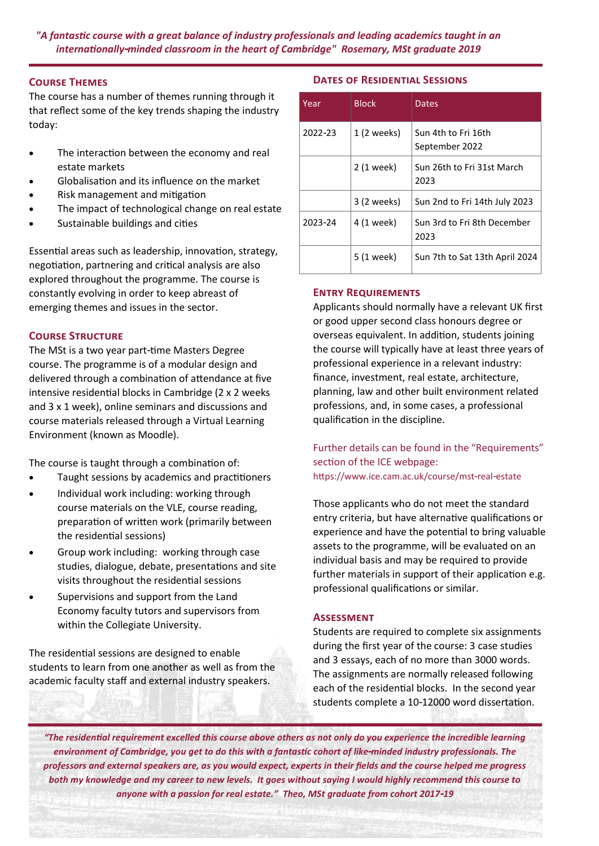*"A fantastic course with a great balance of industry professionals and leading academics taught in an internationally-minded classroom in the heart of Cambridge" Rosemary, MSt graduate 2019*

# **Course Themes**

The course has a number of themes running through it that reflect some of the key trends shaping the industry today:

- The interaction between the economy and real estate markets
- Globalisation and its influence on the market
- Risk management and mitigation
- The impact of technological change on real estate
- Sustainable buildings and cities

Essential areas such as leadership, innovation, strategy, negotiation, partnering and critical analysis are also explored throughout the programme. The course is constantly evolving in order to keep abreast of emerging themes and issues in the sector.

## **Course Structure**

The MSt is a two year part-time Masters Degree course. The programme is of a modular design and delivered through a combination of attendance at five intensive residential blocks in Cambridge (2 x 2 weeks and 3 x 1 week), online seminars and discussions and course materials released through a Virtual Learning Environment (known as Moodle).

The course is taught through a combination of:

- Taught sessions by academics and practitioners
- Individual work including: working through course materials on the VLE, course reading, preparation of written work (primarily between the residential sessions)
- Group work including: working through case studies, dialogue, debate, presentations and site visits throughout the residential sessions
- Supervisions and support from the Land Economy faculty tutors and supervisors from within the Collegiate University.

The residential sessions are designed to enable students to learn from one another as well as from the academic faculty staff and external industry speakers.

# **Dates of Residential Sessions**

| Year    | <b>Block</b> | <b>Dates</b>                          |
|---------|--------------|---------------------------------------|
| 2022-23 | 1 (2 weeks)  | Sun 4th to Fri 16th<br>September 2022 |
|         | 2 (1 week)   | Sun 26th to Fri 31st March<br>2023    |
|         | 3 (2 weeks)  | Sun 2nd to Fri 14th July 2023         |
| 2023-24 | 4 (1 week)   | Sun 3rd to Fri 8th December<br>2023   |
|         | 5 (1 week)   | Sun 7th to Sat 13th April 2024        |

## **Entry Requirements**

Applicants should normally have a relevant UK first or good upper second class honours degree or overseas equivalent. In addition, students joining the course will typically have at least three years of professional experience in a relevant industry: finance, investment, real estate, architecture, planning, law and other built environment related professions, and, in some cases, a professional qualification in the discipline.

Further details can be found in the "Requirements" section of the ICE webpage: https://www.ice.cam.ac.uk/course/mst-real-estate

Those applicants who do not meet the standard entry criteria, but have alternative qualifications or experience and have the potential to bring valuable assets to the programme, will be evaluated on an individual basis and may be required to provide further materials in support of their application e.g. professional qualifications or similar.

## **Assessment**

Students are required to complete six assignments during the first year of the course: 3 case studies and 3 essays, each of no more than 3000 words. The assignments are normally released following each of the residential blocks. In the second year students complete a 10-12000 word dissertation.

*"The residential requirement excelled this course above others as not only do you experience the incredible learning environment of Cambridge, you get to do this with a fantastic cohort of like-minded industry professionals. The professors and external speakers are, as you would expect, experts in their fields and the course helped me progress both my knowledge and my career to new levels. It goes without saying I would highly recommend this course to anyone with a passion for real estate." Theo, MSt graduate from cohort 2017-19*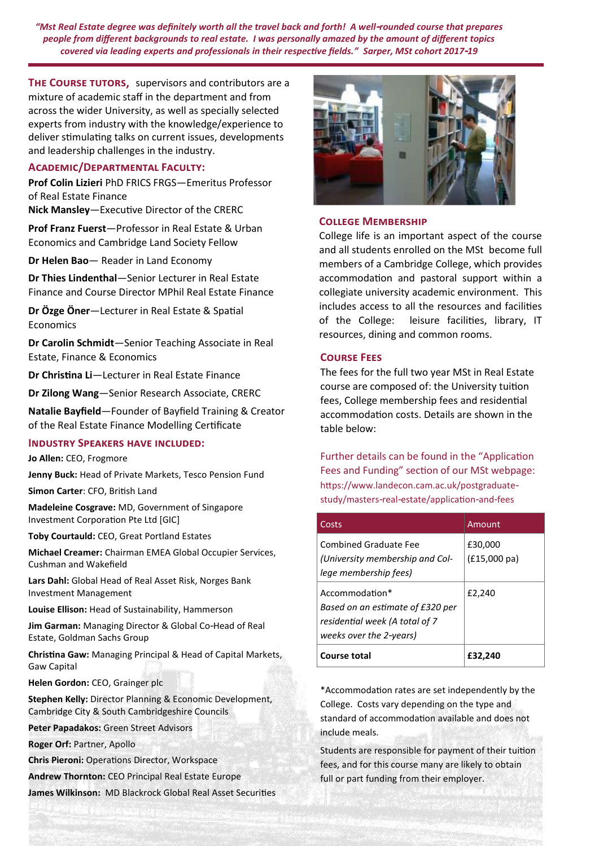*"Mst Real Estate degree was definitely worth all the travel back and forth! A well-rounded course that prepares people from different backgrounds to real estate. I was personally amazed by the amount of different topics covered via leading experts and professionals in their respective fields." Sarper, MSt cohort 2017-19*

**THE COURSE TUTORS, supervisors and contributors are a** mixture of academic staff in the department and from across the wider University, as well as specially selected experts from industry with the knowledge/experience to deliver stimulating talks on current issues, developments and leadership challenges in the industry.

## **Academic/Departmental Faculty:**

**Prof Colin Lizieri** PhD FRICS FRGS—Emeritus Professor of Real Estate Finance

**Nick Mansley**—Executive Director of the CRERC

**Prof Franz Fuerst**—Professor in Real Estate & Urban Economics and Cambridge Land Society Fellow

**Dr Helen Bao**— Reader in Land Economy

**Dr Thies Lindenthal**—Senior Lecturer in Real Estate Finance and Course Director MPhil Real Estate Finance

**Dr Özge Öner**—Lecturer in Real Estate & Spatial Economics

**Dr Carolin Schmidt**—Senior Teaching Associate in Real Estate, Finance & Economics

**Dr Christina Li**—Lecturer in Real Estate Finance

**Dr Zilong Wang**—Senior Research Associate, CRERC

**Natalie Bayfield**—Founder of Bayfield Training & Creator of the Real Estate Finance Modelling Certificate

#### **Industry Speakers have included:**

**Jo Allen:** CEO, Frogmore

**Jenny Buck:** Head of Private Markets, Tesco Pension Fund

**Simon Carter**: CFO, British Land

**Madeleine Cosgrave:** MD, Government of Singapore Investment Corporation Pte Ltd [GIC]

**Toby Courtauld:** CEO, Great Portland Estates

**Michael Creamer:** Chairman EMEA Global Occupier Services, Cushman and Wakefield

**Lars Dahl:** Global Head of Real Asset Risk, Norges Bank Investment Management

**Louise Ellison:** Head of Sustainability, Hammerson

**Jim Garman:** Managing Director & Global Co-Head of Real Estate, Goldman Sachs Group

**Christina Gaw:** Managing Principal & Head of Capital Markets, Gaw Capital

**Helen Gordon:** CEO, Grainger plc

**Stephen Kelly:** Director Planning & Economic Development, Cambridge City & South Cambridgeshire Councils

**Peter Papadakos:** Green Street Advisors

**Roger Orf:** Partner, Apollo

**Chris Pieroni:** Operations Director, Workspace

**Andrew Thornton:** CEO Principal Real Estate Europe

**James Wilkinson:** MD Blackrock Global Real Asset Securities



#### **College Membership**

College life is an important aspect of the course and all students enrolled on the MSt become full members of a Cambridge College, which provides accommodation and pastoral support within a collegiate university academic environment. This includes access to all the resources and facilities of the College: leisure facilities, library, IT resources, dining and common rooms.

## **Course Fees**

The fees for the full two year MSt in Real Estate course are composed of: the University tuition fees, College membership fees and residential accommodation costs. Details are shown in the table below:

Further details can be found in the "Application Fees and Funding" section of our MSt webpage: https://www.landecon.cam.ac.uk/postgraduatestudy/masters-real-estate/application-and-fees

| Costs                                                                                                           | Amount                            |
|-----------------------------------------------------------------------------------------------------------------|-----------------------------------|
| Combined Graduate Fee<br>(University membership and Col-<br>lege membership fees)                               | £30,000<br>$(f15,000 \text{ pa})$ |
| Accommodation*<br>Based on an estimate of £320 per<br>residential week (A total of 7<br>weeks over the 2-years) | £2,240                            |
| <b>Course total</b>                                                                                             | £32.240                           |

\*Accommodation rates are set independently by the College. Costs vary depending on the type and standard of accommodation available and does not include meals.

Students are responsible for payment of their tuition fees, and for this course many are likely to obtain full or part funding from their employer.